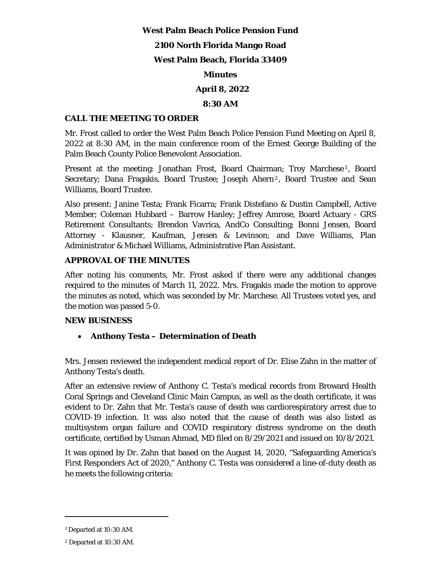### **West Palm Beach Police Pension Fund**

## **2100 North Florida Mango Road**

## **West Palm Beach, Florida 33409**

## **Minutes**

# **April 8, 2022**

## **8:30 AM**

## **CALL THE MEETING TO ORDER**

Mr. Frost called to order the West Palm Beach Police Pension Fund Meeting on April 8, 2022 at 8:30 AM, in the main conference room of the Ernest George Building of the Palm Beach County Police Benevolent Association.

Present at the meeting: Jonathan Frost, Board Chairman; Troy Marchese<sup>1</sup>, Board Secretary; Dana Fragakis, Board Trustee; Joseph Ahern<sup>2</sup>, Board Trustee and Sean Williams, Board Trustee.

Also present: Janine Testa; Frank Ficarra; Frank Distefano & Dustin Campbell, Active Member; Coleman Hubbard – Barrow Hanley; Jeffrey Amrose, Board Actuary - GRS Retirement Consultants; Brendon Vavrica, AndCo Consulting; Bonni Jensen, Board Attorney - Klausner, Kaufman, Jensen & Levinson; and Dave Williams, Plan Administrator & Michael Williams, Administrative Plan Assistant.

## **APPROVAL OF THE MINUTES**

After noting his comments, Mr. Frost asked if there were any additional changes required to the minutes of March 11, 2022. Mrs. Fragakis made the motion to approve the minutes as noted, which was seconded by Mr. Marchese. All Trustees voted yes, and the motion was passed 5-0.

## **NEW BUSINESS**

# **Anthony Testa – Determination of Death**

Mrs. Jensen reviewed the independent medical report of Dr. Elise Zahn in the matter of Anthony Testa's death.

After an extensive review of Anthony C. Testa's medical records from Broward Health Coral Springs and Cleveland Clinic Main Campus, as well as the death certificate, it was evident to Dr. Zahn that Mr. Testa's cause of death was cardiorespiratory arrest due to COVID-19 infection. It was also noted that the cause of death was also listed as multisystem organ failure and COVID respiratory distress syndrome on the death certificate, certified by Usman Ahmad, MD filed on 8/29/2021 and issued on 10/8/2021.

It was opined by Dr. Zahn that based on the August 14, 2020, "Safeguarding America's First Responders Act of 2020," Anthony C. Testa was considered a line-of-duty death as he meets the following criteria:

<sup>1</sup> Departed at 10:30 AM.

<sup>2</sup> Departed at 10:30 AM.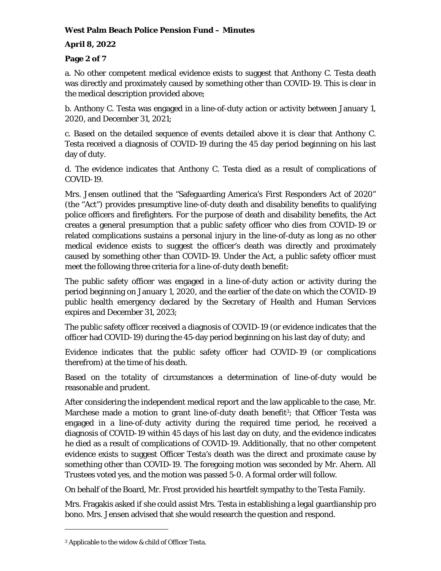# **April 8, 2022**

# **Page 2 of 7**

a. No other competent medical evidence exists to suggest that Anthony C. Testa death was directly and proximately caused by something other than COVID-19. This is clear in the medical description provided above;

b. Anthony C. Testa was engaged in a line-of-duty action or activity between January 1, 2020, and December 31, 2021;

c. Based on the detailed sequence of events detailed above it is clear that Anthony C. Testa received a diagnosis of COVID-19 during the 45 day period beginning on his last day of duty.

d. The evidence indicates that Anthony C. Testa died as a result of complications of COVID-19.

Mrs. Jensen outlined that the "Safeguarding America's First Responders Act of 2020" (the "Act") provides presumptive line-of-duty death and disability benefits to qualifying police officers and firefighters. For the purpose of death and disability benefits, the Act creates a general presumption that a public safety officer who dies from COVID-19 or related complications sustains a personal injury in the line-of-duty as long as no other medical evidence exists to suggest the officer's death was directly and proximately caused by something other than COVID-19. Under the Act, a public safety officer must meet the following three criteria for a line-of-duty death benefit:

The public safety officer was engaged in a line-of-duty action or activity during the period beginning on January 1, 2020, and the earlier of the date on which the COVID-19 public health emergency declared by the Secretary of Health and Human Services expires and December 31, 2023;

The public safety officer received a diagnosis of COVID-19 (or evidence indicates that the officer had COVID-19) during the 45-day period beginning on his last day of duty; and

Evidence indicates that the public safety officer had COVID-19 (or complications therefrom) at the time of his death.

Based on the totality of circumstances a determination of line-of-duty would be reasonable and prudent.

After considering the independent medical report and the law applicable to the case, Mr. Marchese made a motion to grant line-of-duty death benefit<sup>3</sup>; that Officer Testa was engaged in a line-of-duty activity during the required time period, he received a diagnosis of COVID-19 within 45 days of his last day on duty, and the evidence indicates he died as a result of complications of COVID-19. Additionally, that no other competent evidence exists to suggest Officer Testa's death was the direct and proximate cause by something other than COVID-19. The foregoing motion was seconded by Mr. Ahern. All Trustees voted yes, and the motion was passed 5-0. A formal order will follow.

On behalf of the Board, Mr. Frost provided his heartfelt sympathy to the Testa Family.

Mrs. Fragakis asked if she could assist Mrs. Testa in establishing a legal guardianship pro bono. Mrs. Jensen advised that she would research the question and respond.

<sup>3</sup> Applicable to the widow & child of Officer Testa.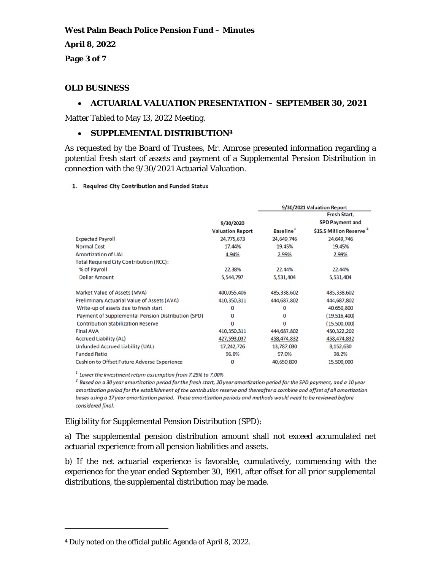**April 8, 2022** 

**Page 3 of 7** 

## **OLD BUSINESS**

### **ACTUARIAL VALUATION PRESENTATION – SEPTEMBER 30, 2021**

Matter Tabled to May 13, 2022 Meeting.

## **• SUPPLEMENTAL DISTRIBUTION4**

As requested by the Board of Trustees, Mr. Amrose presented information regarding a potential fresh start of assets and payment of a Supplemental Pension Distribution in connection with the 9/30/2021 Actuarial Valuation.

#### 1. Required City Contribution and Funded Status

|                                                    |                         | 9/30/2021 Valuation Report |                                     |
|----------------------------------------------------|-------------------------|----------------------------|-------------------------------------|
|                                                    |                         |                            | Fresh Start,                        |
|                                                    | 9/30/2020               |                            | <b>SPD Payment and</b>              |
|                                                    | <b>Valuation Report</b> | Baseline <sup>1</sup>      | \$15.5 Million Reserve <sup>2</sup> |
| <b>Expected Payroll</b>                            | 24,775,673              | 24,649,746                 | 24,649,746                          |
| <b>Normal Cost</b>                                 | 17.44%                  | 19.45%                     | 19.45%                              |
| <b>Amortization of UAL</b>                         | 4.94%                   | 2.99%                      | 2.99%                               |
| <b>Total Required City Contribution (RCC):</b>     |                         |                            |                                     |
| % of Payroll                                       | 22.38%                  | 22.44%                     | 22.44%                              |
| <b>Dollar Amount</b>                               | 5,544,797               | 5,531,404                  | 5,531,404                           |
| Market Value of Assets (MVA)                       | 400,055,406             | 485,338,602                | 485,338,602                         |
| <b>Preliminary Actuarial Value of Assets (AVA)</b> | 410,350,311             | 444,687,802                | 444,687,802                         |
| Write-up of assets due to fresh start              | 0                       | 0                          | 40,650,800                          |
| Payment of Supplemental Pension Distribution (SPD) | 0                       | 0                          | (19,516,400)                        |
| <b>Contribution Stabilization Reserve</b>          | 0                       | 0                          | (15,500,000)                        |
| <b>Final AVA</b>                                   | 410,350,311             | 444,687,802                | 450,322,202                         |
| <b>Accrued Liability (AL)</b>                      | 427,593,037             | 458,474,832                | 458,474,832                         |
| Unfunded Accrued Liability (UAL)                   | 17,242,726              | 13,787,030                 | 8,152,630                           |
| <b>Funded Ratio</b>                                | 96.0%                   | 97.0%                      | 98.2%                               |
| <b>Cushion to Offset Future Adverse Experience</b> | 0                       | 40,650,800                 | 15,500,000                          |

 $1$  Lower the investment return assumption from 7.25% to 7.00%

<sup>2</sup> Based on a 30 year amortization period for the fresh start, 20 year amortization period for the SPD payment, and a 10 year amortization period for the establishment of the contribution reserve and thereafter a combine and offset of all amortization bases using a 17 year amortization period. These amortization periods and methods would need to be reviewed before considered final.

## Eligibility for Supplemental Pension Distribution (SPD):

a) The supplemental pension distribution amount shall not exceed accumulated net actuarial experience from all pension liabilities and assets.

b) If the net actuarial experience is favorable, cumulatively, commencing with the experience for the year ended September 30, 1991, after offset for all prior supplemental distributions, the supplemental distribution may be made.

<sup>4</sup> Duly noted on the official public Agenda of April 8, 2022.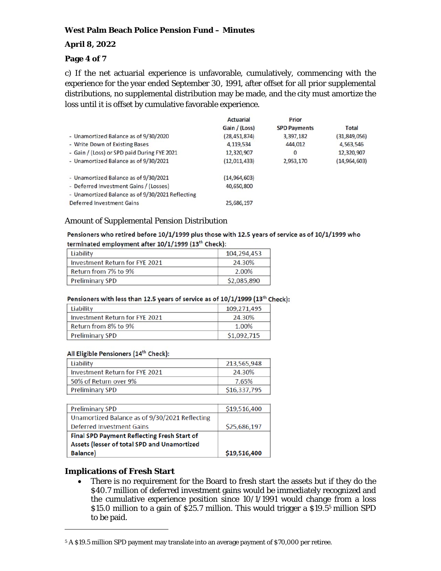### **April 8, 2022**

### **Page 4 of 7**

c) If the net actuarial experience is unfavorable, cumulatively, commencing with the experience for the year ended September 30, 1991, after offset for all prior supplemental distributions, no supplemental distribution may be made, and the city must amortize the loss until it is offset by cumulative favorable experience.

|                                                  | <b>Actuarial</b> | Prior               |                |
|--------------------------------------------------|------------------|---------------------|----------------|
|                                                  | Gain / (Loss)    | <b>SPD Payments</b> | <b>Total</b>   |
| - Unamortized Balance as of 9/30/2020            | (28, 451, 874)   | 3,397,182           | (31, 849, 056) |
| - Write Down of Existing Bases                   | 4,119,534        | 444,012             | 4,563,546      |
| - Gain / (Loss) or SPD paid During FYE 2021      | 12,320,907       | $\mathbf{0}$        | 12,320,907     |
| - Unamortized Balance as of 9/30/2021            | (12,011,433)     | 2,953,170           | (14, 964, 603) |
| - Unamortized Balance as of 9/30/2021            | (14, 964, 603)   |                     |                |
| - Deferred Investment Gains / (Losses)           | 40,650,800       |                     |                |
| - Unamortized Balance as of 9/30/2021 Reflecting |                  |                     |                |
| <b>Deferred Investment Gains</b>                 | 25,686,197       |                     |                |

#### Amount of Supplemental Pension Distribution

#### Pensioners who retired before 10/1/1999 plus those with 12.5 years of service as of 10/1/1999 who terminated employment after 10/1/1999 (13<sup>th</sup> Check):

| Liability                      | 104.294.453 |
|--------------------------------|-------------|
| Investment Return for FYE 2021 | 24.30%      |
| Return from 7% to 9%           | 2.00%       |
| <b>Preliminary SPD</b>         | \$2,085,890 |

#### Pensioners with less than 12.5 years of service as of 10/1/1999 (13<sup>th</sup> Check):

| Liability                      | 109,271,495 |
|--------------------------------|-------------|
| Investment Return for FYE 2021 | 24.30%      |
| Return from 8% to 9%           | 1.00%       |
| <b>Preliminary SPD</b>         | \$1,092,715 |

#### All Eligible Pensioners (14<sup>th</sup> Check):

| Liability                      | 213,565,948  |
|--------------------------------|--------------|
| Investment Return for FYE 2021 | 24.30%       |
| 50% of Return over 9%          | 7.65%        |
| <b>Preliminary SPD</b>         | \$16,337,795 |

| <b>Preliminary SPD</b>                             | \$19,516,400 |
|----------------------------------------------------|--------------|
| Unamortized Balance as of 9/30/2021 Reflecting     |              |
| <b>Deferred Investment Gains</b>                   | \$25,686,197 |
| <b>Final SPD Payment Reflecting Fresh Start of</b> |              |
| Assets (lesser of total SPD and Unamortized        |              |
| <b>Balance</b> )                                   | \$19,516,400 |

#### **Implications of Fresh Start**

 There is no requirement for the Board to fresh start the assets but if they do the \$40.7 million of deferred investment gains would be immediately recognized and the cumulative experience position since 10/1/1991 would change from a loss \$15.0 million to a gain of \$25.7 million. This would trigger a \$19.55 million SPD to be paid.

<sup>5</sup> A \$19.5 million SPD payment may translate into an average payment of \$70,000 per retiree.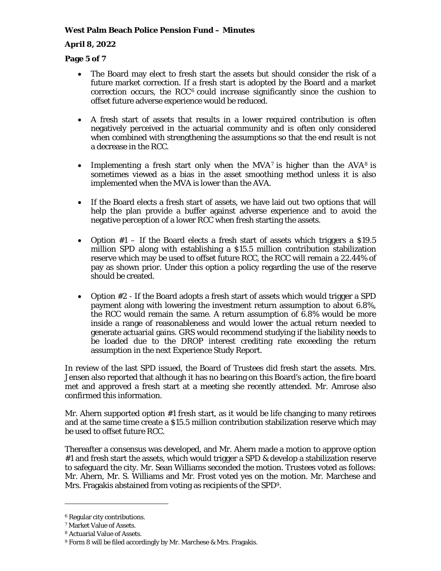## **April 8, 2022**

## **Page 5 of 7**

- The Board may elect to fresh start the assets but should consider the risk of a future market correction. If a fresh start is adopted by the Board and a market correction occurs, the RCC $<sup>6</sup>$  could increase significantly since the cushion to</sup> offset future adverse experience would be reduced.
- A fresh start of assets that results in a lower required contribution is often negatively perceived in the actuarial community and is often only considered when combined with strengthening the assumptions so that the end result is not a decrease in the RCC.
- Implementing a fresh start only when the  $MVA^7$  is higher than the  $AVA^8$  is sometimes viewed as a bias in the asset smoothing method unless it is also implemented when the MVA is lower than the AVA.
- If the Board elects a fresh start of assets, we have laid out two options that will help the plan provide a buffer against adverse experience and to avoid the negative perception of a lower RCC when fresh starting the assets.
- Option  $#1 If$  the Board elects a fresh start of assets which triggers a \$19.5 million SPD along with establishing a \$15.5 million contribution stabilization reserve which may be used to offset future RCC, the RCC will remain a 22.44% of pay as shown prior. Under this option a policy regarding the use of the reserve should be created.
- Option #2 If the Board adopts a fresh start of assets which would trigger a SPD payment along with lowering the investment return assumption to about 6.8%, the RCC would remain the same. A return assumption of 6.8% would be more inside a range of reasonableness and would lower the actual return needed to generate actuarial gains. GRS would recommend studying if the liability needs to be loaded due to the DROP interest crediting rate exceeding the return assumption in the next Experience Study Report.

In review of the last SPD issued, the Board of Trustees did fresh start the assets. Mrs. Jensen also reported that although it has no bearing on this Board's action, the fire board met and approved a fresh start at a meeting she recently attended. Mr. Amrose also confirmed this information.

Mr. Ahern supported option #1 fresh start, as it would be life changing to many retirees and at the same time create a \$15.5 million contribution stabilization reserve which may be used to offset future RCC.

Thereafter a consensus was developed, and Mr. Ahern made a motion to approve option #1 and fresh start the assets, which would trigger a SPD & develop a stabilization reserve to safeguard the city. Mr. Sean Williams seconded the motion. Trustees voted as follows: Mr. Ahern, Mr. S. Williams and Mr. Frost voted yes on the motion. Mr. Marchese and Mrs. Fragakis abstained from voting as recipients of the SPD9.

<sup>6</sup> Regular city contributions.

<sup>7</sup> Market Value of Assets.

<sup>8</sup> Actuarial Value of Assets.

<sup>9</sup> Form 8 will be filed accordingly by Mr. Marchese & Mrs. Fragakis.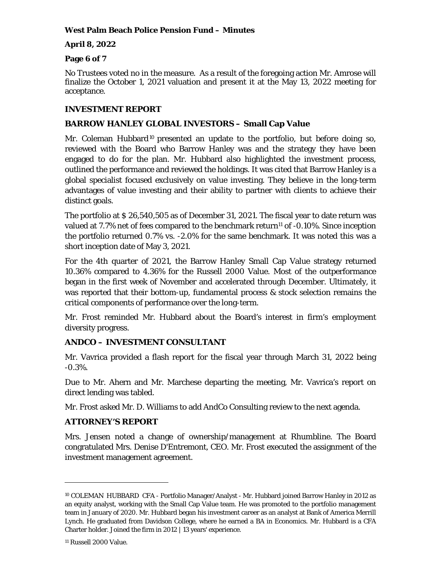## **April 8, 2022**

## **Page 6 of 7**

No Trustees voted no in the measure. As a result of the foregoing action Mr. Amrose will finalize the October 1, 2021 valuation and present it at the May 13, 2022 meeting for acceptance.

# **INVESTMENT REPORT**

## **BARROW HANLEY GLOBAL INVESTORS – Small Cap Value**

Mr. Coleman Hubbard<sup>10</sup> presented an update to the portfolio, but before doing so, reviewed with the Board who Barrow Hanley was and the strategy they have been engaged to do for the plan. Mr. Hubbard also highlighted the investment process, outlined the performance and reviewed the holdings. It was cited that Barrow Hanley is a global specialist focused exclusively on value investing. They believe in the long-term advantages of value investing and their ability to partner with clients to achieve their distinct goals.

The portfolio at \$ 26,540,505 as of December 31, 2021. The fiscal year to date return was valued at  $7.7\%$  net of fees compared to the benchmark return<sup>11</sup> of  $-0.10\%$ . Since inception the portfolio returned 0.7% vs. -2.0% for the same benchmark. It was noted this was a short inception date of May 3, 2021.

For the 4th quarter of 2021, the Barrow Hanley Small Cap Value strategy returned 10.36% compared to 4.36% for the Russell 2000 Value. Most of the outperformance began in the first week of November and accelerated through December. Ultimately, it was reported that their bottom-up, fundamental process  $\&$  stock selection remains the critical components of performance over the long-term.

Mr. Frost reminded Mr. Hubbard about the Board's interest in firm's employment diversity progress.

# **ANDCO – INVESTMENT CONSULTANT**

Mr. Vavrica provided a flash report for the fiscal year through March 31, 2022 being -0.3%.

Due to Mr. Ahern and Mr. Marchese departing the meeting, Mr. Vavrica's report on direct lending was tabled.

Mr. Frost asked Mr. D. Williams to add AndCo Consulting review to the next agenda.

# **ATTORNEY'S REPORT**

Mrs. Jensen noted a change of ownership/management at Rhumbline. The Board congratulated Mrs. Denise D'Entremont, CEO. Mr. Frost executed the assignment of the investment management agreement.

<sup>10</sup> COLEMAN HUBBARD CFA - Portfolio Manager/Analyst - Mr. Hubbard joined Barrow Hanley in 2012 as an equity analyst, working with the Small Cap Value team. He was promoted to the portfolio management team in January of 2020. Mr. Hubbard began his investment career as an analyst at Bank of America Merrill Lynch. He graduated from Davidson College, where he earned a BA in Economics. Mr. Hubbard is a CFA Charter holder. Joined the firm in 2012 | 13 years' experience.